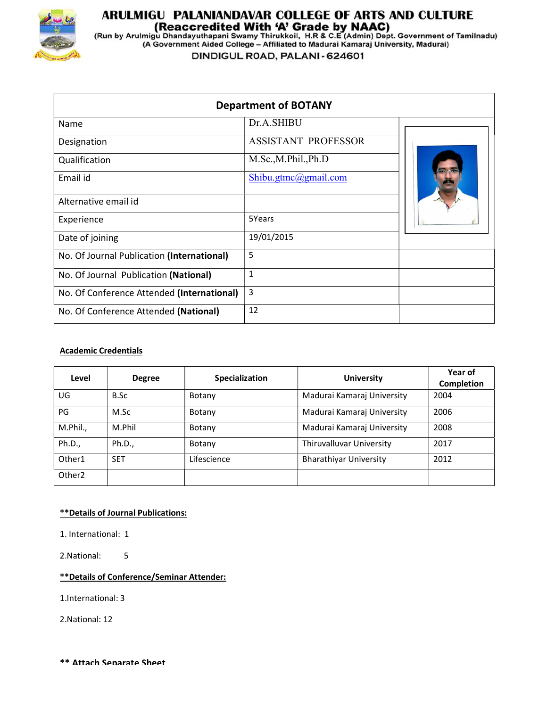

# **ARULMIGU PALANIANDAVAR COLLEGE OF ARTS AND CULTURE<br>(Reaccredited With 'A' Grade by NAAC)<br>(Run by Arulmigu Dhandayuthapani Swamy Thirukkoil, H.R & C.E (Admin) Dept. Government of Tamilnadu)<br>(A Government Aided College – Af**

DINDIGUL ROAD, PALANI - 624601

|                                            | <b>Department of BOTANY</b> |  |
|--------------------------------------------|-----------------------------|--|
| Name                                       | Dr.A.SHIBU                  |  |
| Designation                                | ASSISTANT PROFESSOR         |  |
| Qualification                              | M.Sc.,M.Phil.,Ph.D          |  |
| Email id                                   | Shibu.gtmc@gmail.com        |  |
| Alternative email id                       |                             |  |
| Experience                                 | 5Years                      |  |
| Date of joining                            | 19/01/2015                  |  |
| No. Of Journal Publication (International) | 5                           |  |
| No. Of Journal Publication (National)      | 1                           |  |
| No. Of Conference Attended (International) | 3                           |  |
| No. Of Conference Attended (National)      | 12                          |  |

## Academic Credentials

| Level              | <b>Degree</b> | <b>Specialization</b> | <b>University</b>             | Year of<br><b>Completion</b> |
|--------------------|---------------|-----------------------|-------------------------------|------------------------------|
| UG                 | B.Sc          | Botany                | Madurai Kamaraj University    | 2004                         |
| PG                 | M.Sc          | Botany                | Madurai Kamaraj University    | 2006                         |
| M.Phil.,           | M.Phil        | Botany                | Madurai Kamaraj University    | 2008                         |
| Ph.D.,             | Ph.D.,        | Botany                | Thiruvalluvar University      | 2017                         |
| Other1             | <b>SET</b>    | Lifescience           | <b>Bharathiyar University</b> | 2012                         |
| Other <sub>2</sub> |               |                       |                               |                              |

## \*\*Details of Journal Publications:

1. International: 1

2.National: 5

### \*\*Details of Conference/Seminar Attender:

1.International: 3

2.National: 12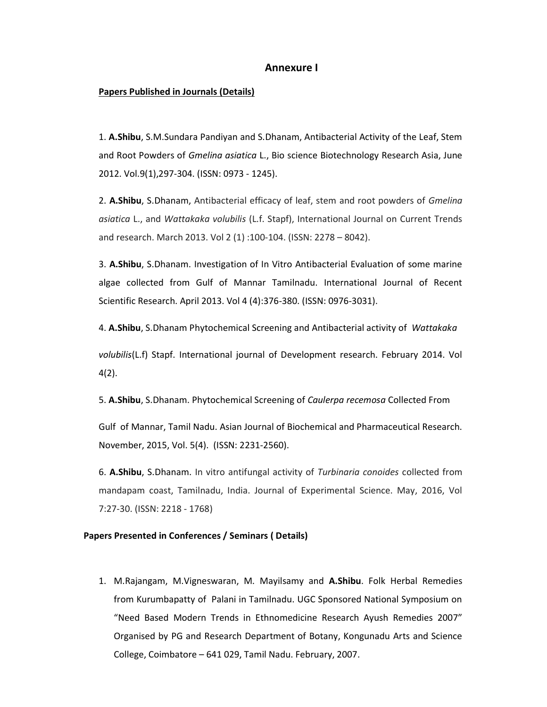# Annexure I

#### Papers Published in Journals (Details)

1. A.Shibu, S.M.Sundara Pandiyan and S.Dhanam, Antibacterial Activity of the Leaf, Stem and Root Powders of Gmelina asiatica L., Bio science Biotechnology Research Asia, June 2012. Vol.9(1),297-304. (ISSN: 0973 - 1245).

2. A.Shibu, S.Dhanam, Antibacterial efficacy of leaf, stem and root powders of Gmelina asiatica L., and Wattakaka volubilis (L.f. Stapf), International Journal on Current Trends and research. March 2013. Vol 2 (1) :100-104. (ISSN: 2278 – 8042).

3. A.Shibu, S.Dhanam. Investigation of In Vitro Antibacterial Evaluation of some marine algae collected from Gulf of Mannar Tamilnadu. International Journal of Recent Scientific Research. April 2013. Vol 4 (4):376-380. (ISSN: 0976-3031).

4. A.Shibu, S.Dhanam Phytochemical Screening and Antibacterial activity of Wattakaka

volubilis(L.f) Stapf. International journal of Development research. February 2014. Vol 4(2).

5. A.Shibu, S.Dhanam. Phytochemical Screening of Caulerpa recemosa Collected From

Gulf of Mannar, Tamil Nadu. Asian Journal of Biochemical and Pharmaceutical Research. November, 2015, Vol. 5(4). (ISSN: 2231-2560).

6. A.Shibu, S.Dhanam. In vitro antifungal activity of Turbinaria conoides collected from mandapam coast, Tamilnadu, India. Journal of Experimental Science. May, 2016, Vol 7:27-30. (ISSN: 2218 - 1768)

### Papers Presented in Conferences / Seminars ( Details)

1. M.Rajangam, M.Vigneswaran, M. Mayilsamy and A.Shibu. Folk Herbal Remedies from Kurumbapatty of Palani in Tamilnadu. UGC Sponsored National Symposium on "Need Based Modern Trends in Ethnomedicine Research Ayush Remedies 2007" Organised by PG and Research Department of Botany, Kongunadu Arts and Science College, Coimbatore – 641 029, Tamil Nadu. February, 2007.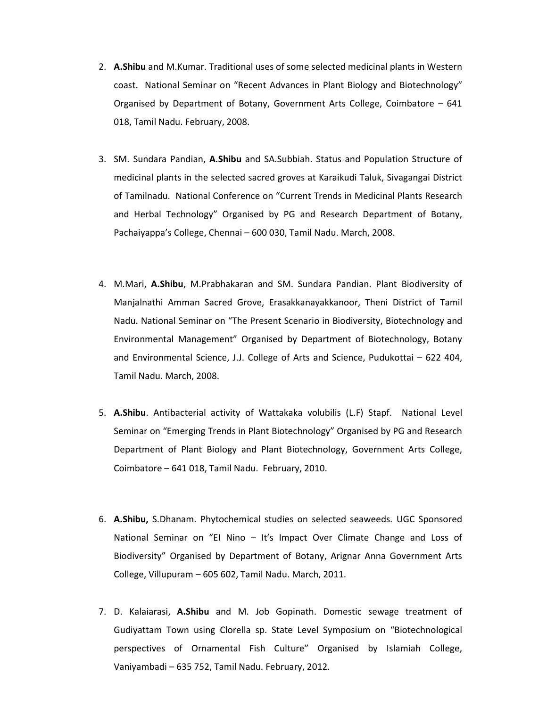- 2. A.Shibu and M.Kumar. Traditional uses of some selected medicinal plants in Western coast. National Seminar on "Recent Advances in Plant Biology and Biotechnology" Organised by Department of Botany, Government Arts College, Coimbatore – 641 018, Tamil Nadu. February, 2008.
- 3. SM. Sundara Pandian, A.Shibu and SA.Subbiah. Status and Population Structure of medicinal plants in the selected sacred groves at Karaikudi Taluk, Sivagangai District of Tamilnadu. National Conference on "Current Trends in Medicinal Plants Research and Herbal Technology" Organised by PG and Research Department of Botany, Pachaiyappa's College, Chennai – 600 030, Tamil Nadu. March, 2008.
- 4. M.Mari, A.Shibu, M.Prabhakaran and SM. Sundara Pandian. Plant Biodiversity of Manjalnathi Amman Sacred Grove, Erasakkanayakkanoor, Theni District of Tamil Nadu. National Seminar on "The Present Scenario in Biodiversity, Biotechnology and Environmental Management" Organised by Department of Biotechnology, Botany and Environmental Science, J.J. College of Arts and Science, Pudukottai – 622 404, Tamil Nadu. March, 2008.
- 5. A.Shibu. Antibacterial activity of Wattakaka volubilis (L.F) Stapf. National Level Seminar on "Emerging Trends in Plant Biotechnology" Organised by PG and Research Department of Plant Biology and Plant Biotechnology, Government Arts College, Coimbatore – 641 018, Tamil Nadu. February, 2010.
- 6. A.Shibu, S.Dhanam. Phytochemical studies on selected seaweeds. UGC Sponsored National Seminar on "EI Nino – It's Impact Over Climate Change and Loss of Biodiversity" Organised by Department of Botany, Arignar Anna Government Arts College, Villupuram – 605 602, Tamil Nadu. March, 2011.
- 7. D. Kalaiarasi, A.Shibu and M. Job Gopinath. Domestic sewage treatment of Gudiyattam Town using Clorella sp. State Level Symposium on "Biotechnological perspectives of Ornamental Fish Culture" Organised by Islamiah College, Vaniyambadi – 635 752, Tamil Nadu. February, 2012.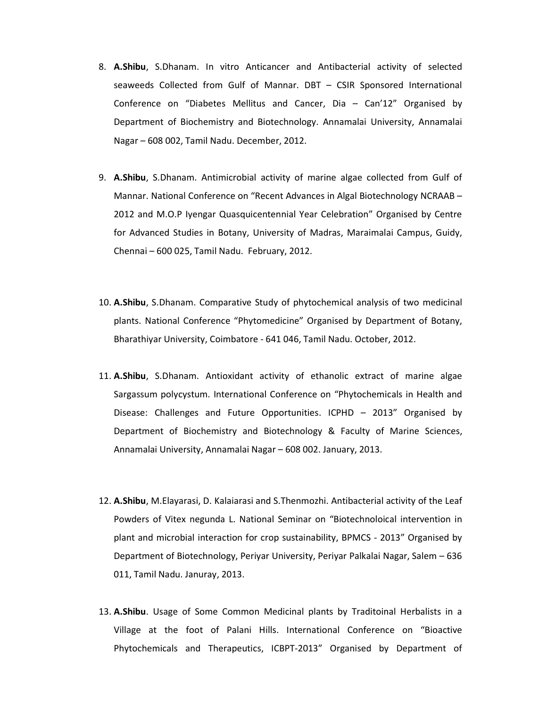- 8. A.Shibu, S.Dhanam. In vitro Anticancer and Antibacterial activity of selected seaweeds Collected from Gulf of Mannar. DBT – CSIR Sponsored International Conference on "Diabetes Mellitus and Cancer, Dia – Can'12" Organised by Department of Biochemistry and Biotechnology. Annamalai University, Annamalai Nagar – 608 002, Tamil Nadu. December, 2012.
- 9. A.Shibu, S.Dhanam. Antimicrobial activity of marine algae collected from Gulf of Mannar. National Conference on "Recent Advances in Algal Biotechnology NCRAAB – 2012 and M.O.P Iyengar Quasquicentennial Year Celebration" Organised by Centre for Advanced Studies in Botany, University of Madras, Maraimalai Campus, Guidy, Chennai – 600 025, Tamil Nadu. February, 2012.
- 10. A.Shibu, S.Dhanam. Comparative Study of phytochemical analysis of two medicinal plants. National Conference "Phytomedicine" Organised by Department of Botany, Bharathiyar University, Coimbatore - 641 046, Tamil Nadu. October, 2012.
- 11. A.Shibu, S.Dhanam. Antioxidant activity of ethanolic extract of marine algae Sargassum polycystum. International Conference on "Phytochemicals in Health and Disease: Challenges and Future Opportunities. ICPHD – 2013" Organised by Department of Biochemistry and Biotechnology & Faculty of Marine Sciences, Annamalai University, Annamalai Nagar – 608 002. January, 2013.
- 12. A.Shibu, M.Elayarasi, D. Kalaiarasi and S.Thenmozhi. Antibacterial activity of the Leaf Powders of Vitex negunda L. National Seminar on "Biotechnoloical intervention in plant and microbial interaction for crop sustainability, BPMCS - 2013" Organised by Department of Biotechnology, Periyar University, Periyar Palkalai Nagar, Salem – 636 011, Tamil Nadu. Januray, 2013.
- 13. A.Shibu. Usage of Some Common Medicinal plants by Traditoinal Herbalists in a Village at the foot of Palani Hills. International Conference on "Bioactive Phytochemicals and Therapeutics, ICBPT-2013" Organised by Department of